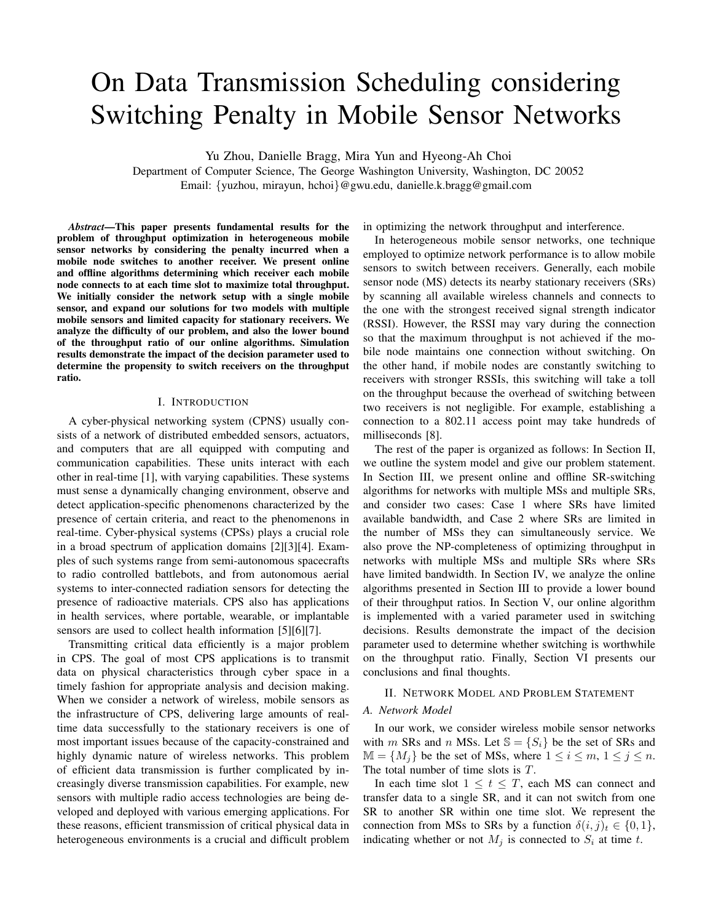# On Data Transmission Scheduling considering Switching Penalty in Mobile Sensor Networks

Yu Zhou, Danielle Bragg, Mira Yun and Hyeong-Ah Choi

Department of Computer Science, The George Washington University, Washington, DC 20052 Email: {yuzhou, mirayun, hchoi}@gwu.edu, danielle.k.bragg@gmail.com

*Abstract***—This paper presents fundamental results for the problem of throughput optimization in heterogeneous mobile sensor networks by considering the penalty incurred when a mobile node switches to another receiver. We present online and offline algorithms determining which receiver each mobile node connects to at each time slot to maximize total throughput. We initially consider the network setup with a single mobile sensor, and expand our solutions for two models with multiple mobile sensors and limited capacity for stationary receivers. We analyze the difficulty of our problem, and also the lower bound of the throughput ratio of our online algorithms. Simulation results demonstrate the impact of the decision parameter used to determine the propensity to switch receivers on the throughput ratio.**

#### I. INTRODUCTION

A cyber-physical networking system (CPNS) usually consists of a network of distributed embedded sensors, actuators, and computers that are all equipped with computing and communication capabilities. These units interact with each other in real-time [1], with varying capabilities. These systems must sense a dynamically changing environment, observe and detect application-specific phenomenons characterized by the presence of certain criteria, and react to the phenomenons in real-time. Cyber-physical systems (CPSs) plays a crucial role in a broad spectrum of application domains [2][3][4]. Examples of such systems range from semi-autonomous spacecrafts to radio controlled battlebots, and from autonomous aerial systems to inter-connected radiation sensors for detecting the presence of radioactive materials. CPS also has applications in health services, where portable, wearable, or implantable sensors are used to collect health information [5][6][7].

Transmitting critical data efficiently is a major problem in CPS. The goal of most CPS applications is to transmit data on physical characteristics through cyber space in a timely fashion for appropriate analysis and decision making. When we consider a network of wireless, mobile sensors as the infrastructure of CPS, delivering large amounts of realtime data successfully to the stationary receivers is one of most important issues because of the capacity-constrained and highly dynamic nature of wireless networks. This problem of efficient data transmission is further complicated by increasingly diverse transmission capabilities. For example, new sensors with multiple radio access technologies are being developed and deployed with various emerging applications. For these reasons, efficient transmission of critical physical data in heterogeneous environments is a crucial and difficult problem in optimizing the network throughput and interference.

In heterogeneous mobile sensor networks, one technique employed to optimize network performance is to allow mobile sensors to switch between receivers. Generally, each mobile sensor node (MS) detects its nearby stationary receivers (SRs) by scanning all available wireless channels and connects to the one with the strongest received signal strength indicator (RSSI). However, the RSSI may vary during the connection so that the maximum throughput is not achieved if the mobile node maintains one connection without switching. On the other hand, if mobile nodes are constantly switching to receivers with stronger RSSIs, this switching will take a toll on the throughput because the overhead of switching between two receivers is not negligible. For example, establishing a connection to a 802.11 access point may take hundreds of milliseconds [8].

The rest of the paper is organized as follows: In Section II, we outline the system model and give our problem statement. In Section III, we present online and offline SR-switching algorithms for networks with multiple MSs and multiple SRs, and consider two cases: Case 1 where SRs have limited available bandwidth, and Case 2 where SRs are limited in the number of MSs they can simultaneously service. We also prove the NP-completeness of optimizing throughput in networks with multiple MSs and multiple SRs where SRs have limited bandwidth. In Section IV, we analyze the online algorithms presented in Section III to provide a lower bound of their throughput ratios. In Section V, our online algorithm is implemented with a varied parameter used in switching decisions. Results demonstrate the impact of the decision parameter used to determine whether switching is worthwhile on the throughput ratio. Finally, Section VI presents our conclusions and final thoughts.

## II. NETWORK MODEL AND PROBLEM STATEMENT

## *A. Network Model*

In our work, we consider wireless mobile sensor networks with *m* SRs and *n* MSs. Let  $\mathcal{S} = \{S_i\}$  be the set of SRs and  $\mathbb{M} = \{M_i\}$  be the set of MSs, where  $1 \leq i \leq m, 1 \leq j \leq n$ . The total number of time slots is  $T$ .

In each time slot  $1 \le t \le T$ , each MS can connect and transfer data to a single SR, and it can not switch from one SR to another SR within one time slot. We represent the connection from MSs to SRs by a function  $\delta(i, j)_t \in \{0, 1\}$ , indicating whether or not  $M_j$  is connected to  $S_i$  at time t.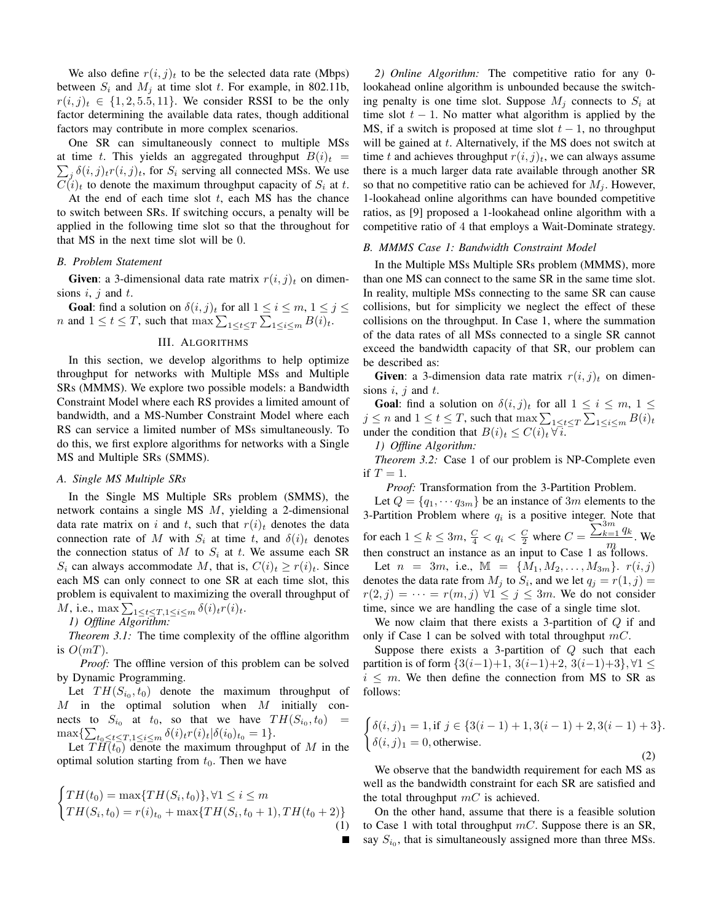We also define  $r(i, j)_t$  to be the selected data rate (Mbps) between  $S_i$  and  $M_j$  at time slot t. For example, in 802.11b,  $r(i, j)_t \in \{1, 2, 5.5, 11\}$ . We consider RSSI to be the only factor determining the available data rates, though additional factors may contribute in more complex scenarios.

One SR can simultaneously connect to multiple MSs  $\sum_{j} \delta(i, j)_{t} r(i, j)_{t}$ , for  $S_i$  serving all connected MSs. We use at time t. This yields an aggregated throughput  $B(i)_t =$  $C(i)_t$  to denote the maximum throughput capacity of  $S_i$  at t.

At the end of each time slot  $t$ , each MS has the chance to switch between SRs. If switching occurs, a penalty will be applied in the following time slot so that the throughout for that MS in the next time slot will be 0.

## *B. Problem Statement*

**Given**: a 3-dimensional data rate matrix  $r(i, j)_t$  on dimensions  $i, j$  and  $t$ .

**Goal**: find a solution on  $\delta(i, j)_t$  for all  $1 \leq i \leq m, 1 \leq j \leq n$ *n* and  $1 \le t \le T$ , such that  $\max \sum_{1 \le t \le T} \sum_{1 \le i \le m} B(i)_t$ .

# III. ALGORITHMS

In this section, we develop algorithms to help optimize throughput for networks with Multiple MSs and Multiple SRs (MMMS). We explore two possible models: a Bandwidth Constraint Model where each RS provides a limited amount of bandwidth, and a MS-Number Constraint Model where each RS can service a limited number of MSs simultaneously. To do this, we first explore algorithms for networks with a Single MS and Multiple SRs (SMMS).

## *A. Single MS Multiple SRs*

In the Single MS Multiple SRs problem (SMMS), the network contains a single MS  $M$ , yielding a 2-dimensional data rate matrix on i and t, such that  $r(i)_t$  denotes the data connection rate of M with  $S_i$  at time t, and  $\delta(i)_t$  denotes the connection status of  $M$  to  $S_i$  at  $t$ . We assume each SR  $S_i$  can always accommodate M, that is,  $C(i)_t \geq r(i)_t$ . Since each MS can only connect to one SR at each time slot, this problem is equivalent to maximizing the overall throughput of M, i.e.,  $\max \sum_{1 \leq t \leq T, 1 \leq i \leq m} \delta(i)_{t} r(i)_{t}.$ 

*1) Offline Algorithm:*

*Theorem 3.1:* The time complexity of the offline algorithm is  $O(mT)$ .

*Proof:* The offline version of this problem can be solved by Dynamic Programming.

Let  $TH(S_{i_0}, t_0)$  denote the maximum throughput of  $M$  in the optimal solution when  $M$  initially connects to  $S_{i_0}$  at  $t_0$ , so that we have  $TH(S_{i_0}, t_0)$  =  $\max\{\sum_{t_0 \le t \le T, 1 \le i \le m} \delta(i)_t r(i)_t | \delta(i_0)_{t_0} = 1\}.$ 

Let  $T\tilde{H}(t_0)$  denote the maximum throughput of M in the optimal solution starting from  $t_0$ . Then we have

$$
\begin{cases}\nTH(t_0) = \max\{TH(S_i, t_0)\}, \forall 1 \le i \le m \\
TH(S_i, t_0) = r(i)_{t_0} + \max\{TH(S_i, t_0 + 1), TH(t_0 + 2)\} \\
(1)\n\end{cases}
$$

*2) Online Algorithm:* The competitive ratio for any 0 lookahead online algorithm is unbounded because the switching penalty is one time slot. Suppose  $M_j$  connects to  $S_i$  at time slot  $t - 1$ . No matter what algorithm is applied by the MS, if a switch is proposed at time slot  $t - 1$ , no throughput will be gained at  $t$ . Alternatively, if the MS does not switch at time t and achieves throughput  $r(i, j)_t$ , we can always assume there is a much larger data rate available through another SR so that no competitive ratio can be achieved for  $M_i$ . However, 1-lookahead online algorithms can have bounded competitive ratios, as [9] proposed a 1-lookahead online algorithm with a competitive ratio of 4 that employs a Wait-Dominate strategy.

## *B. MMMS Case 1: Bandwidth Constraint Model*

In the Multiple MSs Multiple SRs problem (MMMS), more than one MS can connect to the same SR in the same time slot. In reality, multiple MSs connecting to the same SR can cause collisions, but for simplicity we neglect the effect of these collisions on the throughput. In Case 1, where the summation of the data rates of all MSs connected to a single SR cannot exceed the bandwidth capacity of that SR, our problem can be described as:

**Given**: a 3-dimension data rate matrix  $r(i, j)_t$  on dimensions  $i$ ,  $j$  and  $t$ .

**Goal**: find a solution on  $\delta(i, j)_t$  for all  $1 \leq i \leq m, 1 \leq$  $j \leq n$  and  $1 \leq t \leq T$ , such that  $\max_{1 \leq t \leq T} \sum_{1 \leq i \leq m} B(i)_t$ under the condition that  $B(i)_t \leq C(i)_t \,\forall \overline{i}$ .

*1) Offline Algorithm:*

*Theorem 3.2:* Case 1 of our problem is NP-Complete even if  $T = 1$ .

*Proof:* Transformation from the 3-Partition Problem.

Let  $Q = \{q_1, \dots, q_{3m}\}\$ be an instance of  $3m$  elements to the 3-Partition Problem where  $q_i$  is a positive integer. Note that for each  $1 \leq k \leq 3m$ ,  $\frac{C}{4} < q_i < \frac{C}{2}$  where  $C =$  $\sum_{k=1}^{3m} q_k$  $\frac{n=1.4\pi}{m}$ . We then construct an instance as an input to Case 1 as follows.

Let  $n = 3m$ , i.e.,  $M = \{M_1, M_2, \ldots, M_{3m}\}\text{. } r(i, j)$ denotes the data rate from  $M_i$  to  $S_i$ , and we let  $q_i = r(1, j)$  =  $r(2, j) = \cdots = r(m, j) \forall 1 \leq j \leq 3m$ . We do not consider time, since we are handling the case of a single time slot.

We now claim that there exists a 3-partition of  $Q$  if and only if Case 1 can be solved with total throughput  $mC$ .

Suppose there exists a 3-partition of  $Q$  such that each partition is of form  $\{3(i-1)+1, 3(i-1)+2, 3(i-1)+3\}, \forall 1 \leq$  $i \leq m$ . We then define the connection from MS to SR as follows:

$$
\begin{cases} \delta(i,j)_1 = 1, \text{if } j \in \{3(i-1)+1, 3(i-1)+2, 3(i-1)+3\}. \\ \delta(i,j)_1 = 0, \text{otherwise.} \end{cases}
$$
 (2)

We observe that the bandwidth requirement for each MS as well as the bandwidth constraint for each SR are satisfied and the total throughput  $mC$  is achieved.

On the other hand, assume that there is a feasible solution to Case 1 with total throughput  $mC$ . Suppose there is an SR, say  $S_{i_0}$ , that is simultaneously assigned more than three MSs.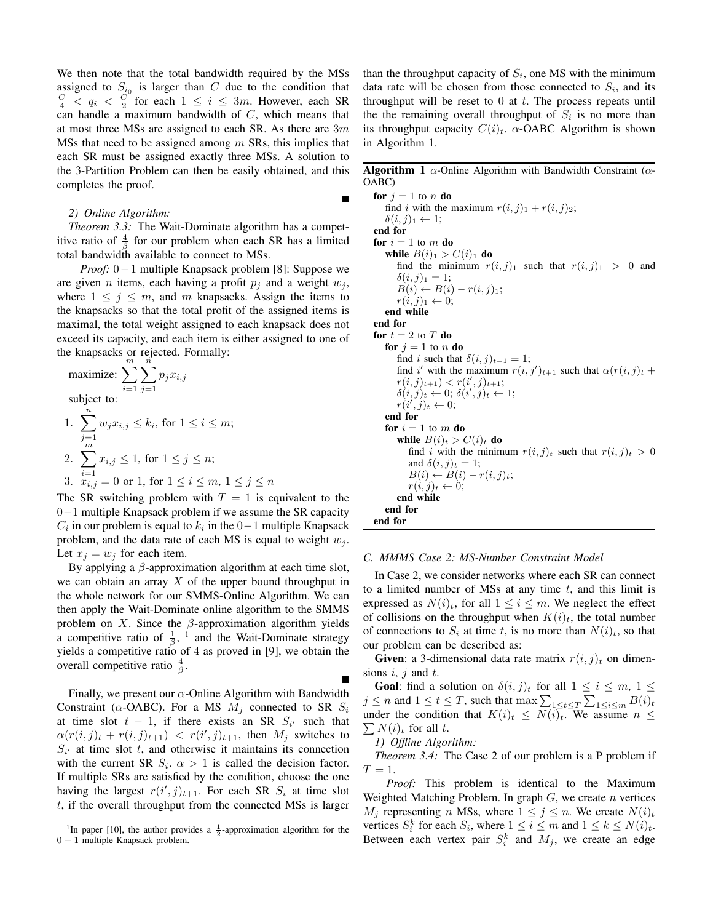We then note that the total bandwidth required by the MSs assigned to  $S_{i_0}$  is larger than C due to the condition that  $\frac{C}{4}$  <  $q_i$  <  $\frac{C}{2}$  for each  $1 \le i \le 3m$ . However, each SR can handle a maximum bandwidth of  $C$ , which means that at most three MSs are assigned to each SR. As there are  $3m$ MSs that need to be assigned among  $m$  SRs, this implies that each SR must be assigned exactly three MSs. A solution to the 3-Partition Problem can then be easily obtained, and this completes the proof.

## *2) Online Algorithm:*

*Theorem 3.3:* The Wait-Dominate algorithm has a competitive ratio of  $\frac{4}{\beta}$  for our problem when each SR has a limited total bandwidth available to connect to MSs.

*Proof:* 0−1 multiple Knapsack problem [8]: Suppose we are given *n* items, each having a profit  $p_j$  and a weight  $w_j$ , where  $1 \leq j \leq m$ , and m knapsacks. Assign the items to the knapsacks so that the total profit of the assigned items is maximal, the total weight assigned to each knapsack does not exceed its capacity, and each item is either assigned to one of the knapsacks or rejected. Formally:

maximize: 
$$
\sum_{i=1}^{m} \sum_{j=1}^{n} p_j x_{i,j}
$$
  
\nsubject to:  
\n1. 
$$
\sum_{j=1}^{n} w_j x_{i,j} \le k_i
$$
, for  $1 \le i \le m$ ;  
\n2. 
$$
\sum_{i=1}^{m} x_{i,j} \le 1
$$
, for  $1 \le j \le n$ ;  
\n3. 
$$
x_{i,j} = 0
$$
 or 1, for  $1 \le i \le m$ ,  $1 \le j \le n$ 

The SR switching problem with  $T = 1$  is equivalent to the 0−1 multiple Knapsack problem if we assume the SR capacity  $C_i$  in our problem is equal to  $k_i$  in the 0−1 multiple Knapsack problem, and the data rate of each MS is equal to weight  $w_i$ . Let  $x_j = w_j$  for each item.

By applying a  $\beta$ -approximation algorithm at each time slot, we can obtain an array  $X$  of the upper bound throughput in the whole network for our SMMS-Online Algorithm. We can then apply the Wait-Dominate online algorithm to the SMMS problem on X. Since the  $\beta$ -approximation algorithm yields a competitive ratio of  $\frac{1}{\beta}$ , <sup>1</sup> and the Wait-Dominate strategy yields a competitive ratio of 4 as proved in [9], we obtain the overall competitive ratio  $\frac{4}{\beta}$ .

Finally, we present our  $\alpha$ -Online Algorithm with Bandwidth Constraint ( $\alpha$ -OABC). For a MS  $M_j$  connected to SR  $S_i$ at time slot  $t - 1$ , if there exists an SR  $S_{i'}$  such that  $\alpha(r(i,j)_t + r(i,j)_{t+1}) \le r(i',j)_{t+1}$ , then  $M_j$  switches to  $S_{i'}$  at time slot t, and otherwise it maintains its connection with the current SR  $S_i$ .  $\alpha > 1$  is called the decision factor. If multiple SRs are satisfied by the condition, choose the one having the largest  $r(i', j)_{t+1}$ . For each SR  $S_i$  at time slot  $t$ , if the overall throughput from the connected MSs is larger

<sup>1</sup>In paper [10], the author provides a  $\frac{1}{2}$ -approximation algorithm for the 0 - 1 multiple Knapsack problem.

than the throughput capacity of  $S_i$ , one MS with the minimum data rate will be chosen from those connected to  $S_i$ , and its throughput will be reset to  $0$  at  $t$ . The process repeats until the the remaining overall throughput of  $S_i$  is no more than its throughput capacity  $C(i)_t$ .  $\alpha$ -OABC Algorithm is shown in Algorithm 1.

**Algorithm 1**  $\alpha$ -Online Algorithm with Bandwidth Constraint ( $\alpha$ -OABC)

**for**  $i = 1$  to n **do** find *i* with the maximum  $r(i, j)_1 + r(i, j)_2$ ;  $\delta(i, j)_1 \leftarrow 1;$ **end for for**  $i = 1$  to  $m$  **do while**  $B(i)_1 > C(i)_1$  **do** find the minimum  $r(i, j)_1$  such that  $r(i, j)_1 > 0$  and  $\delta(i, j)_1 = 1;$  $B(i) \leftarrow B(i) - r(i, j)_1;$  $r(i, j)_1 \leftarrow 0;$ **end while end for for**  $t = 2$  to  $T$  **do for**  $j = 1$  to  $n$  **do** find *i* such that  $\delta(i, j)_{t-1} = 1$ ; find i' with the maximum  $r(i, j')_{t+1}$  such that  $\alpha(r(i, j))_t +$  $r(i, j)_{t+1}) < r(i', j)_{t+1};$  $\delta(i, j)_t \leftarrow 0; \delta(i', j)_t \leftarrow 1;$ <br>  $r(i', j)_t \leftarrow 0;$ **end for for**  $i = 1$  to  $m$  **do while**  $B(i)_t > C(i)_t$  **do** find *i* with the minimum  $r(i, j)_t$  such that  $r(i, j)_t > 0$ and  $\delta(i, j)_t = 1$ ;  $B(i) \leftarrow B(i) - r(i, j)_t;$  $r(i, j)_t \leftarrow 0;$ **end while end for end for**

#### *C. MMMS Case 2: MS-Number Constraint Model*

In Case 2, we consider networks where each SR can connect to a limited number of MSs at any time  $t$ , and this limit is expressed as  $N(i)_t$ , for all  $1 \leq i \leq m$ . We neglect the effect of collisions on the throughput when  $K(i)_t$ , the total number of connections to  $S_i$  at time t, is no more than  $N(i)_t$ , so that our problem can be described as:

**Given**: a 3-dimensional data rate matrix  $r(i, j)_t$  on dimensions  $i, j$  and  $t$ .

**Goal**: find a solution on  $\delta(i, j)_t$  for all  $1 \leq i \leq m, 1 \leq$  $j \leq n$  and  $1 \leq t \leq T$ , such that  $\max \sum_{1 \leq t \leq T} \sum_{1 \leq i \leq m} B(i)_t$ under the condition that  $K(i)_t \leq N(i)_t$ . We assume  $n \leq$  $\sum N(i)_t$  for all t.

*1) Offline Algorithm:*

*Theorem 3.4:* The Case 2 of our problem is a P problem if  $T = 1$ .

*Proof:* This problem is identical to the Maximum Weighted Matching Problem. In graph  $G$ , we create  $n$  vertices  $M_j$  representing *n* MSs, where  $1 \leq j \leq n$ . We create  $N(i)_t$ vertices  $S_i^k$  for each  $S_i$ , where  $1 \le i \le m$  and  $1 \le k \le N(i)_t$ . Between each vertex pair  $S_i^k$  and  $M_j$ , we create an edge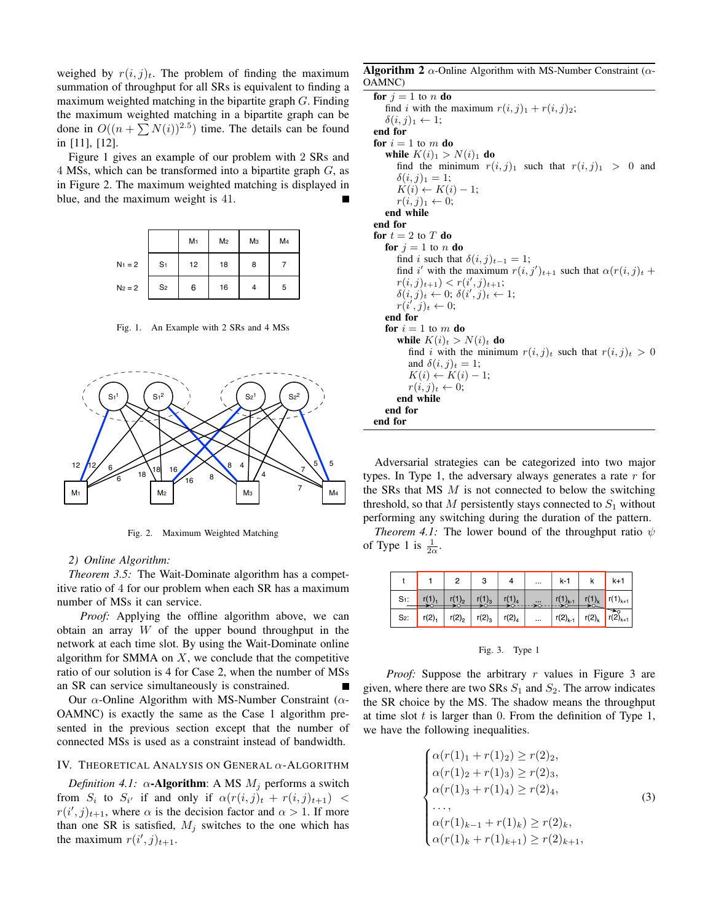weighed by  $r(i, j)_t$ . The problem of finding the maximum summation of throughput for all SRs is equivalent to finding a maximum weighted matching in the bipartite graph  $G$ . Finding the maximum weighted matching in a bipartite graph can be done in  $O((n + \sum N(i))^{2.5})$  time. The details can be found in [11], [12].

Figure 1 gives an example of our problem with 2 SRs and  $4$  MSs, which can be transformed into a bipartite graph  $G$ , as in Figure 2. The maximum weighted matching is displayed in blue, and the maximum weight is 41.

|           |                | M <sub>1</sub> | M <sub>2</sub> | Мз | M <sub>4</sub> |
|-----------|----------------|----------------|----------------|----|----------------|
| $N_1 = 2$ | S <sub>1</sub> | 12             | 18             | 8  |                |
| $N_2 = 2$ | S <sub>2</sub> | 6              | 16             | 4  | 5              |

Fig. 1. An Example with 2 SRs and 4 MSs



Fig. 2. Maximum Weighted Matching

#### *2) Online Algorithm:*

*Theorem 3.5:* The Wait-Dominate algorithm has a competitive ratio of 4 for our problem when each SR has a maximum number of MSs it can service.

*Proof:* Applying the offline algorithm above, we can obtain an array  $W$  of the upper bound throughput in the network at each time slot. By using the Wait-Dominate online algorithm for SMMA on  $X$ , we conclude that the competitive ratio of our solution is 4 for Case 2, when the number of MSs an SR can service simultaneously is constrained.

Our  $\alpha$ -Online Algorithm with MS-Number Constraint ( $\alpha$ -OAMNC) is exactly the same as the Case 1 algorithm presented in the previous section except that the number of connected MSs is used as a constraint instead of bandwidth.

#### IV. THEORETICAL ANALYSIS ON GENERAL  $\alpha$ -ALGORITHM

*Definition 4.1:*  $\alpha$ -**Algorithm**: A MS  $M_i$  performs a switch from  $S_i$  to  $S_{i'}$  if and only if  $\alpha(r(i, j)_t + r(i, j)_{t+1})$  <  $r(i', j)_{t+1}$ , where  $\alpha$  is the decision factor and  $\alpha > 1$ . If more than one SR is satisfied,  $M_j$  switches to the one which has the maximum  $r(i', j)_{t+1}$ .

**Algorithm 2**  $\alpha$ -Online Algorithm with MS-Number Constraint ( $\alpha$ -OAMNC)

**for**  $j = 1$  to  $n$  **do** find *i* with the maximum  $r(i, j)_1 + r(i, j)_2$ ;  $\delta(i, j)_1 \leftarrow 1;$ **end for for**  $i = 1$  to  $m$  **do while**  $K(i)_1 > N(i)_1$  **do** find the minimum  $r(i, j)_1$  such that  $r(i, j)_1 > 0$  and  $\delta(i, j)_1 = 1;$  $K(i) \leftarrow K(i) - 1;$  $r(i, j)_1 \leftarrow 0;$ **end while end for for**  $t = 2$  to  $T$  **do for**  $j = 1$  to  $n$  **do** find *i* such that  $\delta(i, j)_{t-1} = 1$ ; find i' with the maximum  $r(i, j')_{t+1}$  such that  $\alpha(r(i, j)_{t} +$  $r(i, j)_{t+1}) < r(i', j)_{t+1};$  $\delta(i, j)_t \leftarrow 0; \delta(i', j)_t \leftarrow 1;$ <br>  $r(i', j)_t \leftarrow 0;$ **end for for**  $i = 1$  to  $m$  **do while**  $K(i)_t > N(i)_t$  **do** find *i* with the minimum  $r(i, j)_t$  such that  $r(i, j)_t > 0$ and  $\delta(i, j)_t = 1$ ;  $K(i) \leftarrow K(i) - 1;$  $r(i, j)_t \leftarrow 0;$ **end while end for end for**

Adversarial strategies can be categorized into two major types. In Type 1, the adversary always generates a rate  $r$  for the SRs that MS  $M$  is not connected to below the switching threshold, so that M persistently stays connected to  $S_1$  without performing any switching during the duration of the pattern.

*Theorem 4.1:* The lower bound of the throughput ratio  $\psi$ of Type 1 is  $\frac{1}{2\alpha}$ .

|                                                                                                                             |  | $\ddotsc$ | $k-1$ | $\vert$ k | $\mathsf{I}$ k+1 |
|-----------------------------------------------------------------------------------------------------------------------------|--|-----------|-------|-----------|------------------|
| S <sub>1</sub> : $r(1)_1$ $r(1)_2$ $r(1)_3$ $r(1)_4$ $\ldots$ $r(1)_{k-1}$ $r(1)_k$ $r(1)_{k+1}$                            |  |           |       |           |                  |
| S2: $\left[ r(2)_1 \right] r(2)_2 \left[ r(2)_3 \right] r(2)_4 \left[  \right] r(2)_{k-1} \left[ r(2)_k \right] r(2)_{k+1}$ |  |           |       |           |                  |

Fig. 3. Type 1

*Proof:* Suppose the arbitrary r values in Figure 3 are given, where there are two SRs  $S_1$  and  $S_2$ . The arrow indicates the SR choice by the MS. The shadow means the throughput at time slot  $t$  is larger than 0. From the definition of Type 1, we have the following inequalities.

$$
\begin{cases}\n\alpha(r(1)_1 + r(1)_2) \ge r(2)_2, \\
\alpha(r(1)_2 + r(1)_3) \ge r(2)_3, \\
\alpha(r(1)_3 + r(1)_4) \ge r(2)_4, \\
\dots, \\
\alpha(r(1)_{k-1} + r(1)_k) \ge r(2)_k, \\
\alpha(r(1)_k + r(1)_{k+1}) \ge r(2)_{k+1},\n\end{cases}
$$
\n(3)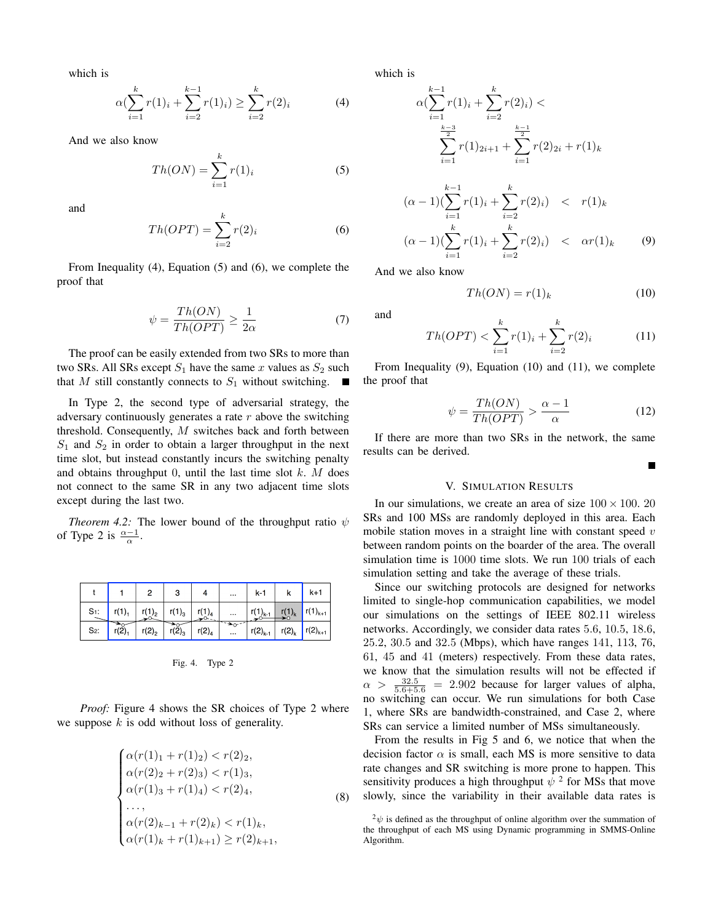which is

$$
\alpha(\sum_{i=1}^{k} r(1)_i + \sum_{i=2}^{k-1} r(1)_i) \ge \sum_{i=2}^{k} r(2)_i \tag{4}
$$

And we also know

$$
Th(ON) = \sum_{i=1}^{k} r(1)_i
$$
\n<sup>(5)</sup>

and

$$
Th(OPT) = \sum_{i=2}^{k} r(2)_i
$$
\n<sup>(6)</sup>

From Inequality (4), Equation (5) and (6), we complete the proof that

$$
\psi = \frac{Th(ON)}{Th(OPT)} \ge \frac{1}{2\alpha} \tag{7}
$$

The proof can be easily extended from two SRs to more than two SRs. All SRs except  $S_1$  have the same x values as  $S_2$  such that M still constantly connects to  $S_1$  without switching.  $\blacksquare$ 

In Type 2, the second type of adversarial strategy, the adversary continuously generates a rate  $r$  above the switching threshold. Consequently,  $M$  switches back and forth between  $S_1$  and  $S_2$  in order to obtain a larger throughput in the next time slot, but instead constantly incurs the switching penalty and obtains throughput 0, until the last time slot  $k$ . M does not connect to the same SR in any two adjacent time slots except during the last two.

*Theorem 4.2:* The lower bound of the throughput ratio  $\psi$ of Type 2 is  $\frac{\alpha-1}{\alpha}$ .

|                  |            |            |            |            | $\cdots$ | $k-1$                                                                                                                                                                        | $k+1$                 |
|------------------|------------|------------|------------|------------|----------|------------------------------------------------------------------------------------------------------------------------------------------------------------------------------|-----------------------|
|                  |            |            |            |            |          | S <sub>1</sub> : $\mathbf{r}(1)$ <sub>1</sub> $\mathbf{r}(1)$ <sub>2</sub> $\mathbf{r}(1)$ <sub>3</sub> $\mathbf{r}(1)$ <sub>4</sub> $\ldots$ $\mathbf{r}(1)$ <sub>k-1</sub> | $r(1)_k$ $r(1)_{k+1}$ |
| S <sub>2</sub> : | $r(2)_{1}$ | $r(2)_{2}$ | $r(2)_{3}$ | $r(2)_{4}$ | $\sim$   | $\left  r(2)_{k-1} \right  r(2)_{k}$ $\left  r(2)_{k+1} \right $                                                                                                             |                       |

| ľ | vne |  |
|---|-----|--|
|   |     |  |

*Proof:* Figure 4 shows the SR choices of Type 2 where we suppose  $k$  is odd without loss of generality.

$$
\begin{cases}\n\alpha(r(1)_1 + r(1)_2) < r(2)_2, \\
\alpha(r(2)_2 + r(2)_3) < r(1)_3, \\
\alpha(r(1)_3 + r(1)_4) < r(2)_4, \\
\dots, \\
\alpha(r(2)_{k-1} + r(2)_k) < r(1)_k, \\
\alpha(r(1)_k + r(1)_{k+1}) \ge r(2)_{k+1},\n\end{cases} \tag{8}
$$

which is

$$
\alpha(\sum_{i=1}^{k-1} r(1)_i + \sum_{i=2}^k r(2)_i) <
$$
  

$$
\sum_{i=1}^{\frac{k-3}{2}} r(1)_{2i+1} + \sum_{i=1}^{\frac{k-1}{2}} r(2)_{2i} + r(1)_k
$$
  

$$
(\alpha - 1)(\sum_{i=1}^{k-1} r(1)_i + \sum_{i=2}^k r(2)_i) < r(1)_k
$$
  

$$
(\alpha - 1)(\sum_{i=1}^k r(1)_i + \sum_{i=2}^k r(2)_i) < \alpha r(1)_k
$$
 (9)

And we also know

$$
Th(ON) = r(1)_k \tag{10}
$$

and

$$
Th(OPT) < \sum_{i=1}^{k} r(1)_i + \sum_{i=2}^{k} r(2)_i \tag{11}
$$

From Inequality (9), Equation (10) and (11), we complete the proof that

$$
\psi = \frac{Th(ON)}{Th(OPT)} > \frac{\alpha - 1}{\alpha} \tag{12}
$$

 $\blacksquare$ 

If there are more than two SRs in the network, the same results can be derived.

#### V. SIMULATION RESULTS

In our simulations, we create an area of size  $100 \times 100$ . 20 SRs and 100 MSs are randomly deployed in this area. Each mobile station moves in a straight line with constant speed  $v$ between random points on the boarder of the area. The overall simulation time is 1000 time slots. We run 100 trials of each simulation setting and take the average of these trials.

Since our switching protocols are designed for networks limited to single-hop communication capabilities, we model our simulations on the settings of IEEE 802.11 wireless networks. Accordingly, we consider data rates 5.6, 10.5, 18.6, 25.2, 30.5 and 32.5 (Mbps), which have ranges 141, 113, 76, 61, 45 and 41 (meters) respectively. From these data rates, we know that the simulation results will not be effected if  $\alpha > \frac{32.5}{5.6+5.6} = 2.902$  because for larger values of alpha, no switching can occur. We run simulations for both Case 1, where SRs are bandwidth-constrained, and Case 2, where SRs can service a limited number of MSs simultaneously.

From the results in Fig 5 and 6, we notice that when the decision factor  $\alpha$  is small, each MS is more sensitive to data rate changes and SR switching is more prone to happen. This sensitivity produces a high throughput  $\psi^2$  for MSs that move slowly, since the variability in their available data rates is

 $2\psi$  is defined as the throughput of online algorithm over the summation of the throughput of each MS using Dynamic programming in SMMS-Online Algorithm.